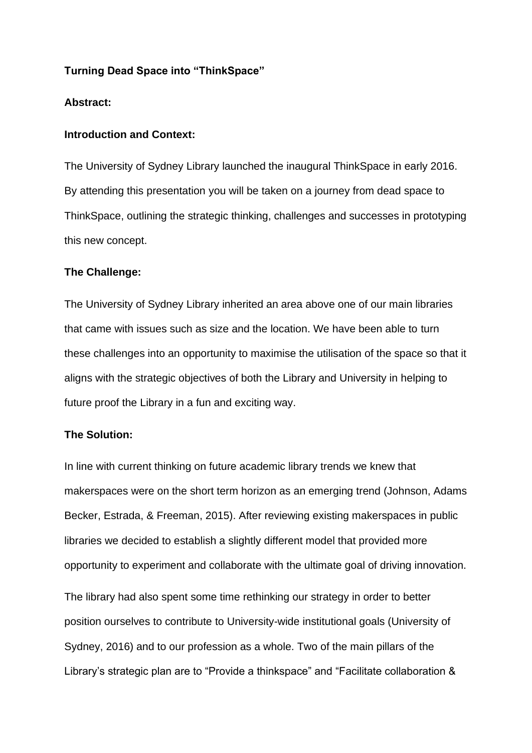# **Turning Dead Space into "ThinkSpace"**

# **Abstract:**

# **Introduction and Context:**

The University of Sydney Library launched the inaugural ThinkSpace in early 2016. By attending this presentation you will be taken on a journey from dead space to ThinkSpace, outlining the strategic thinking, challenges and successes in prototyping this new concept.

# **The Challenge:**

The University of Sydney Library inherited an area above one of our main libraries that came with issues such as size and the location. We have been able to turn these challenges into an opportunity to maximise the utilisation of the space so that it aligns with the strategic objectives of both the Library and University in helping to future proof the Library in a fun and exciting way.

# **The Solution:**

In line with current thinking on future academic library trends we knew that makerspaces were on the short term horizon as an emerging trend (Johnson, Adams Becker, Estrada, & Freeman, 2015). After reviewing existing makerspaces in public libraries we decided to establish a slightly different model that provided more opportunity to experiment and collaborate with the ultimate goal of driving innovation.

The library had also spent some time rethinking our strategy in order to better position ourselves to contribute to University-wide institutional goals (University of Sydney, 2016) and to our profession as a whole. Two of the main pillars of the Library's strategic plan are to "Provide a thinkspace" and "Facilitate collaboration &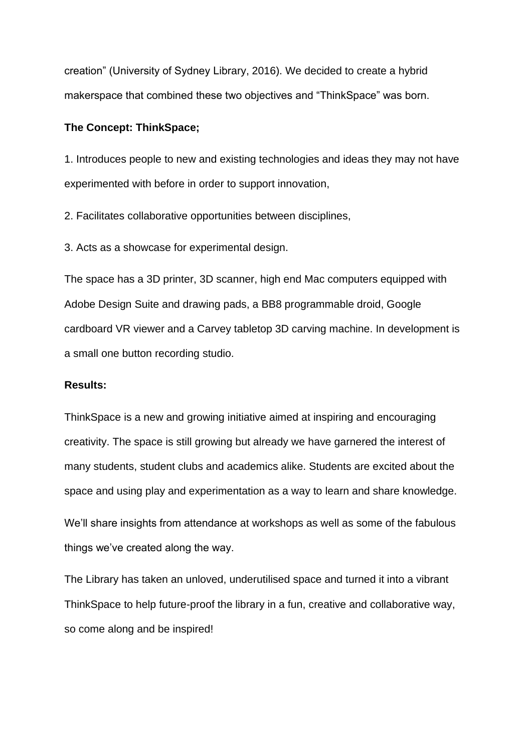creation" (University of Sydney Library, 2016). We decided to create a hybrid makerspace that combined these two objectives and "ThinkSpace" was born.

## **The Concept: ThinkSpace;**

1. Introduces people to new and existing technologies and ideas they may not have experimented with before in order to support innovation,

2. Facilitates collaborative opportunities between disciplines,

3. Acts as a showcase for experimental design.

The space has a 3D printer, 3D scanner, high end Mac computers equipped with Adobe Design Suite and drawing pads, a BB8 programmable droid, Google cardboard VR viewer and a Carvey tabletop 3D carving machine. In development is a small one button recording studio.

# **Results:**

ThinkSpace is a new and growing initiative aimed at inspiring and encouraging creativity. The space is still growing but already we have garnered the interest of many students, student clubs and academics alike. Students are excited about the space and using play and experimentation as a way to learn and share knowledge.

We'll share insights from attendance at workshops as well as some of the fabulous things we've created along the way.

The Library has taken an unloved, underutilised space and turned it into a vibrant ThinkSpace to help future-proof the library in a fun, creative and collaborative way, so come along and be inspired!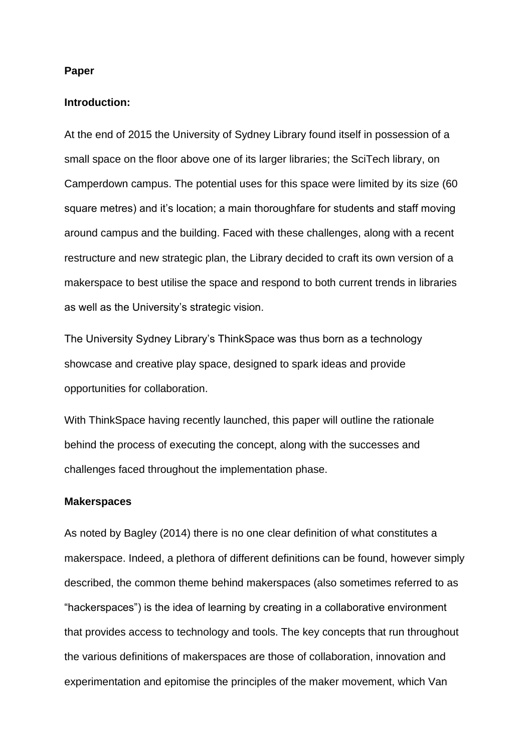#### **Paper**

# **Introduction:**

At the end of 2015 the University of Sydney Library found itself in possession of a small space on the floor above one of its larger libraries; the SciTech library, on Camperdown campus. The potential uses for this space were limited by its size (60 square metres) and it's location; a main thoroughfare for students and staff moving around campus and the building. Faced with these challenges, along with a recent restructure and new strategic plan, the Library decided to craft its own version of a makerspace to best utilise the space and respond to both current trends in libraries as well as the University's strategic vision.

The University Sydney Library's ThinkSpace was thus born as a technology showcase and creative play space, designed to spark ideas and provide opportunities for collaboration.

With ThinkSpace having recently launched, this paper will outline the rationale behind the process of executing the concept, along with the successes and challenges faced throughout the implementation phase.

#### **Makerspaces**

As noted by Bagley (2014) there is no one clear definition of what constitutes a makerspace. Indeed, a plethora of different definitions can be found, however simply described, the common theme behind makerspaces (also sometimes referred to as "hackerspaces") is the idea of learning by creating in a collaborative environment that provides access to technology and tools. The key concepts that run throughout the various definitions of makerspaces are those of collaboration, innovation and experimentation and epitomise the principles of the maker movement, which Van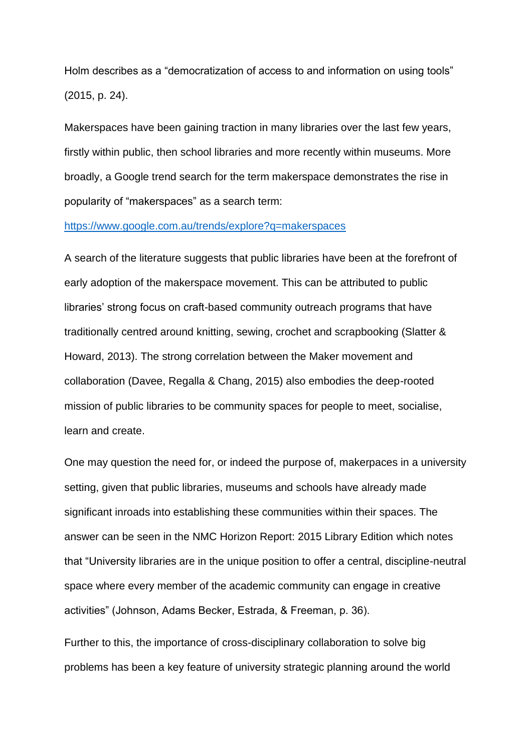Holm describes as a "democratization of access to and information on using tools" (2015, p. 24).

Makerspaces have been gaining traction in many libraries over the last few years, firstly within public, then school libraries and more recently within museums. More broadly, a Google trend search for the term makerspace demonstrates the rise in popularity of "makerspaces" as a search term:

#### <https://www.google.com.au/trends/explore?q=makerspaces>

A search of the literature suggests that public libraries have been at the forefront of early adoption of the makerspace movement. This can be attributed to public libraries' strong focus on craft-based community outreach programs that have traditionally centred around knitting, sewing, crochet and scrapbooking (Slatter & Howard, 2013). The strong correlation between the Maker movement and collaboration (Davee, Regalla & Chang, 2015) also embodies the deep-rooted mission of public libraries to be community spaces for people to meet, socialise, learn and create.

One may question the need for, or indeed the purpose of, makerpaces in a university setting, given that public libraries, museums and schools have already made significant inroads into establishing these communities within their spaces. The answer can be seen in the NMC Horizon Report: 2015 Library Edition which notes that "University libraries are in the unique position to offer a central, discipline-neutral space where every member of the academic community can engage in creative activities" (Johnson, Adams Becker, Estrada, & Freeman, p. 36).

Further to this, the importance of cross-disciplinary collaboration to solve big problems has been a key feature of university strategic planning around the world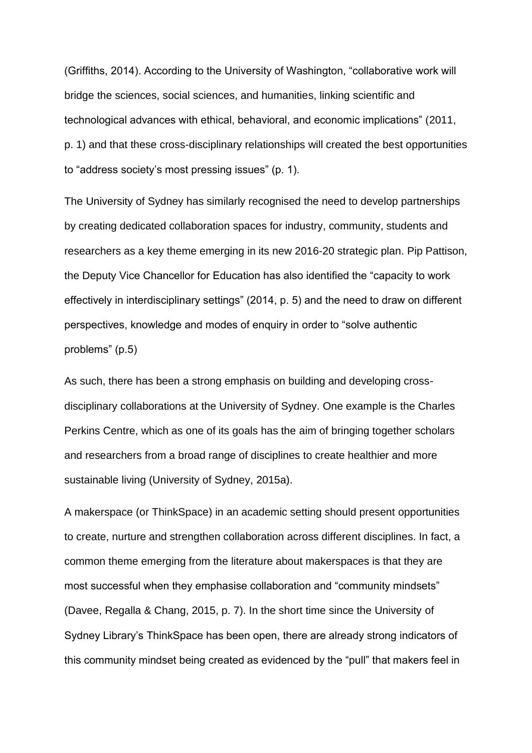(Griffiths, 2014). According to the University of Washington, "collaborative work will bridge the sciences, social sciences, and humanities, linking scientific and technological advances with ethical, behavioral, and economic implications" (2011, p. 1) and that these cross-disciplinary relationships will created the best opportunities to "address society's most pressing issues" (p. 1).

The University of Sydney has similarly recognised the need to develop partnerships by creating dedicated collaboration spaces for industry, community, students and researchers as a key theme emerging in its new 2016-20 strategic plan. Pip Pattison, the Deputy Vice Chancellor for Education has also identified the "capacity to work effectively in interdisciplinary settings" (2014, p. 5) and the need to draw on different perspectives, knowledge and modes of enquiry in order to "solve authentic problems" (p.5)

As such, there has been a strong emphasis on building and developing crossdisciplinary collaborations at the University of Sydney. One example is the Charles Perkins Centre, which as one of its goals has the aim of bringing together scholars and researchers from a broad range of disciplines to create healthier and more sustainable living (University of Sydney, 2015a).

A makerspace (or ThinkSpace) in an academic setting should present opportunities to create, nurture and strengthen collaboration across different disciplines. In fact, a common theme emerging from the literature about makerspaces is that they are most successful when they emphasise collaboration and "community mindsets" (Davee, Regalla & Chang, 2015, p. 7). In the short time since the University of Sydney Library's ThinkSpace has been open, there are already strong indicators of this community mindset being created as evidenced by the "pull" that makers feel in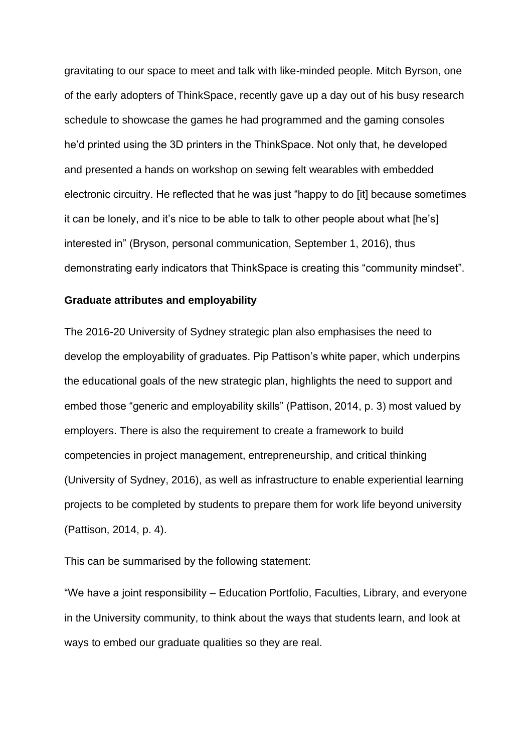gravitating to our space to meet and talk with like-minded people. Mitch Byrson, one of the early adopters of ThinkSpace, recently gave up a day out of his busy research schedule to showcase the games he had programmed and the gaming consoles he'd printed using the 3D printers in the ThinkSpace. Not only that, he developed and presented a hands on workshop on sewing felt wearables with embedded electronic circuitry. He reflected that he was just "happy to do [it] because sometimes it can be lonely, and it's nice to be able to talk to other people about what [he's] interested in" (Bryson, personal communication, September 1, 2016), thus demonstrating early indicators that ThinkSpace is creating this "community mindset".

## **Graduate attributes and employability**

The 2016-20 University of Sydney strategic plan also emphasises the need to develop the employability of graduates. Pip Pattison's white paper, which underpins the educational goals of the new strategic plan, highlights the need to support and embed those "generic and employability skills" (Pattison, 2014, p. 3) most valued by employers. There is also the requirement to create a framework to build competencies in project management, entrepreneurship, and critical thinking (University of Sydney, 2016), as well as infrastructure to enable experiential learning projects to be completed by students to prepare them for work life beyond university (Pattison, 2014, p. 4).

This can be summarised by the following statement:

"We have a joint responsibility – Education Portfolio, Faculties, Library, and everyone in the University community, to think about the ways that students learn, and look at ways to embed our graduate qualities so they are real.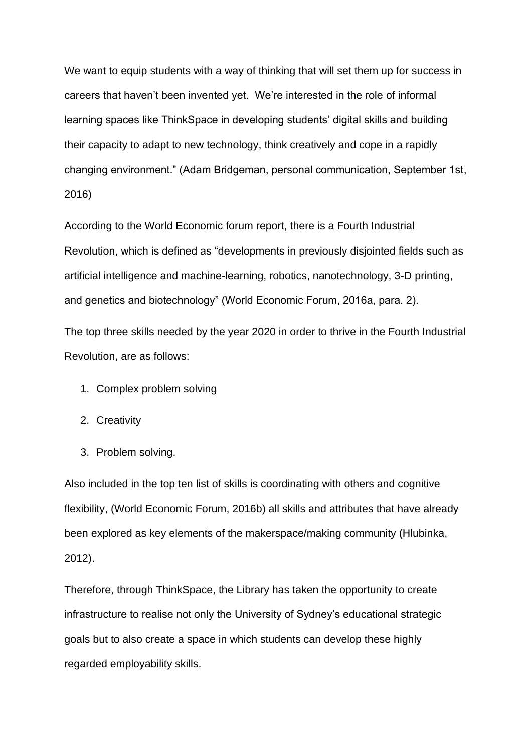We want to equip students with a way of thinking that will set them up for success in careers that haven't been invented yet. We're interested in the role of informal learning spaces like ThinkSpace in developing students' digital skills and building their capacity to adapt to new technology, think creatively and cope in a rapidly changing environment." (Adam Bridgeman, personal communication, September 1st, 2016)

According to the World Economic forum report, there is a Fourth Industrial Revolution, which is defined as "developments in previously disjointed fields such as artificial intelligence and machine-learning, robotics, nanotechnology, 3-D printing, and genetics and biotechnology" (World Economic Forum, 2016a, para. 2).

The top three skills needed by the year 2020 in order to thrive in the Fourth Industrial Revolution, are as follows:

- 1. Complex problem solving
- 2. Creativity
- 3. Problem solving.

Also included in the top ten list of skills is coordinating with others and cognitive flexibility, (World Economic Forum, 2016b) all skills and attributes that have already been explored as key elements of the makerspace/making community (Hlubinka, 2012).

Therefore, through ThinkSpace, the Library has taken the opportunity to create infrastructure to realise not only the University of Sydney's educational strategic goals but to also create a space in which students can develop these highly regarded employability skills.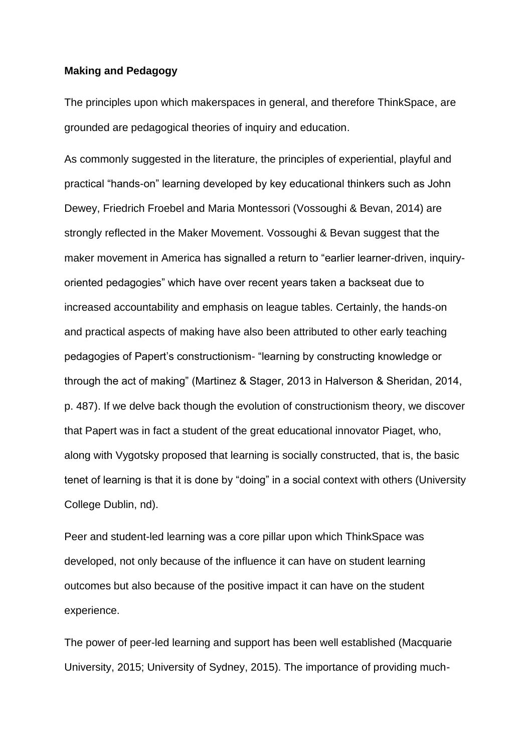#### **Making and Pedagogy**

The principles upon which makerspaces in general, and therefore ThinkSpace, are grounded are pedagogical theories of inquiry and education.

As commonly suggested in the literature, the principles of experiential, playful and practical "hands-on" learning developed by key educational thinkers such as John Dewey, Friedrich Froebel and Maria Montessori (Vossoughi & Bevan, 2014) are strongly reflected in the Maker Movement. Vossoughi & Bevan suggest that the maker movement in America has signalled a return to "earlier learner-driven, inquiryoriented pedagogies" which have over recent years taken a backseat due to increased accountability and emphasis on league tables. Certainly, the hands-on and practical aspects of making have also been attributed to other early teaching pedagogies of Papert's constructionism- "learning by constructing knowledge or through the act of making" (Martinez & Stager, 2013 in Halverson & Sheridan, 2014, p. 487). If we delve back though the evolution of constructionism theory, we discover that Papert was in fact a student of the great educational innovator Piaget, who, along with Vygotsky proposed that learning is socially constructed, that is, the basic tenet of learning is that it is done by "doing" in a social context with others (University College Dublin, nd).

Peer and student-led learning was a core pillar upon which ThinkSpace was developed, not only because of the influence it can have on student learning outcomes but also because of the positive impact it can have on the student experience.

The power of peer-led learning and support has been well established (Macquarie University, 2015; University of Sydney, 2015). The importance of providing much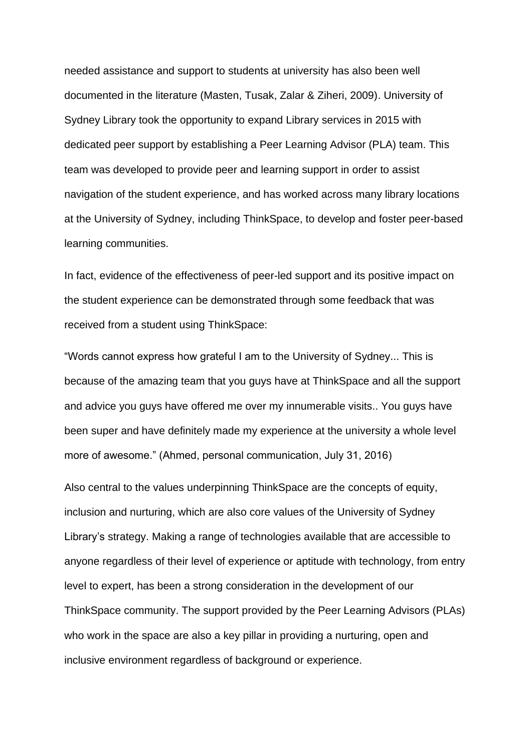needed assistance and support to students at university has also been well documented in the literature (Masten, Tusak, Zalar & Ziheri, 2009). University of Sydney Library took the opportunity to expand Library services in 2015 with dedicated peer support by establishing a Peer Learning Advisor (PLA) team. This team was developed to provide peer and learning support in order to assist navigation of the student experience, and has worked across many library locations at the University of Sydney, including ThinkSpace, to develop and foster peer-based learning communities.

In fact, evidence of the effectiveness of peer-led support and its positive impact on the student experience can be demonstrated through some feedback that was received from a student using ThinkSpace:

"Words cannot express how grateful I am to the University of Sydney... This is because of the amazing team that you guys have at ThinkSpace and all the support and advice you guys have offered me over my innumerable visits.. You guys have been super and have definitely made my experience at the university a whole level more of awesome." (Ahmed, personal communication, July 31, 2016)

Also central to the values underpinning ThinkSpace are the concepts of equity, inclusion and nurturing, which are also core values of the University of Sydney Library's strategy. Making a range of technologies available that are accessible to anyone regardless of their level of experience or aptitude with technology, from entry level to expert, has been a strong consideration in the development of our ThinkSpace community. The support provided by the Peer Learning Advisors (PLAs) who work in the space are also a key pillar in providing a nurturing, open and inclusive environment regardless of background or experience.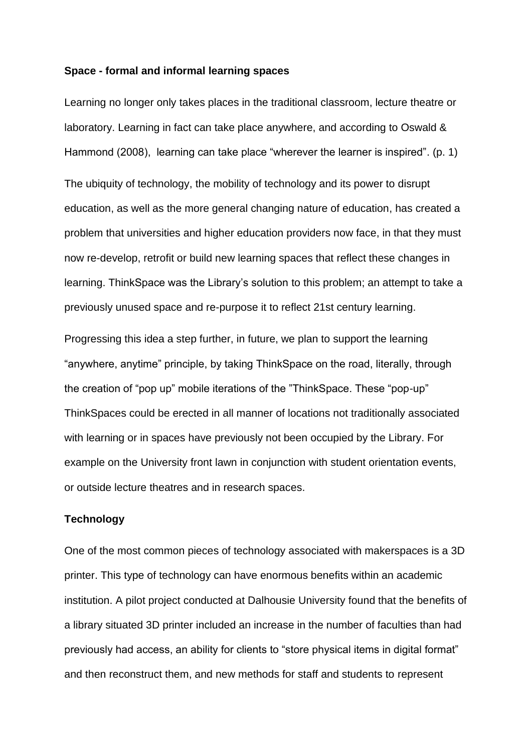#### **Space - formal and informal learning spaces**

Learning no longer only takes places in the traditional classroom, lecture theatre or laboratory. Learning in fact can take place anywhere, and according to Oswald & Hammond (2008), learning can take place "wherever the learner is inspired". (p. 1)

The ubiquity of technology, the mobility of technology and its power to disrupt education, as well as the more general changing nature of education, has created a problem that universities and higher education providers now face, in that they must now re-develop, retrofit or build new learning spaces that reflect these changes in learning. ThinkSpace was the Library's solution to this problem; an attempt to take a previously unused space and re-purpose it to reflect 21st century learning.

Progressing this idea a step further, in future, we plan to support the learning "anywhere, anytime" principle, by taking ThinkSpace on the road, literally, through the creation of "pop up" mobile iterations of the "ThinkSpace. These "pop-up" ThinkSpaces could be erected in all manner of locations not traditionally associated with learning or in spaces have previously not been occupied by the Library. For example on the University front lawn in conjunction with student orientation events, or outside lecture theatres and in research spaces.

# **Technology**

One of the most common pieces of technology associated with makerspaces is a 3D printer. This type of technology can have enormous benefits within an academic institution. A pilot project conducted at Dalhousie University found that the benefits of a library situated 3D printer included an increase in the number of faculties than had previously had access, an ability for clients to "store physical items in digital format" and then reconstruct them, and new methods for staff and students to represent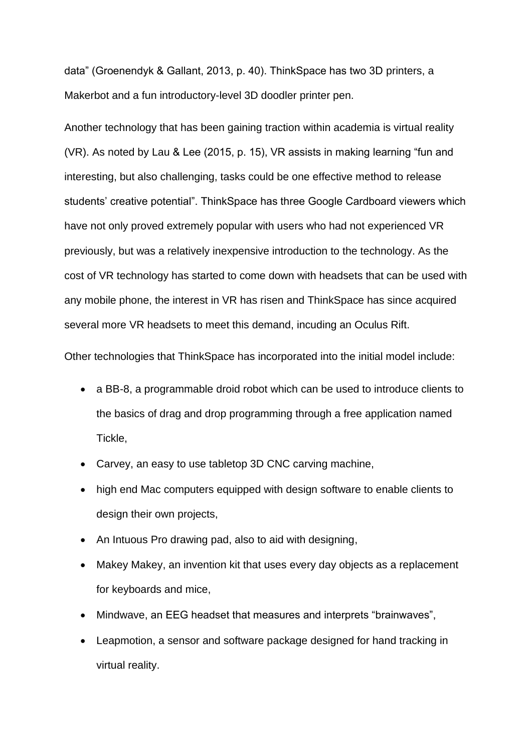data" (Groenendyk & Gallant, 2013, p. 40). ThinkSpace has two 3D printers, a Makerbot and a fun introductory-level 3D doodler printer pen.

Another technology that has been gaining traction within academia is virtual reality (VR). As noted by Lau & Lee (2015, p. 15), VR assists in making learning "fun and interesting, but also challenging, tasks could be one effective method to release students' creative potential". ThinkSpace has three Google Cardboard viewers which have not only proved extremely popular with users who had not experienced VR previously, but was a relatively inexpensive introduction to the technology. As the cost of VR technology has started to come down with headsets that can be used with any mobile phone, the interest in VR has risen and ThinkSpace has since acquired several more VR headsets to meet this demand, incuding an Oculus Rift.

Other technologies that ThinkSpace has incorporated into the initial model include:

- a BB-8, a programmable droid robot which can be used to introduce clients to the basics of drag and drop programming through a free application named Tickle,
- Carvey, an easy to use tabletop 3D CNC carving machine,
- high end Mac computers equipped with design software to enable clients to design their own projects,
- An Intuous Pro drawing pad, also to aid with designing,
- Makey Makey, an invention kit that uses every day objects as a replacement for keyboards and mice,
- Mindwave, an EEG headset that measures and interprets "brainwaves",
- Leapmotion, a sensor and software package designed for hand tracking in virtual reality.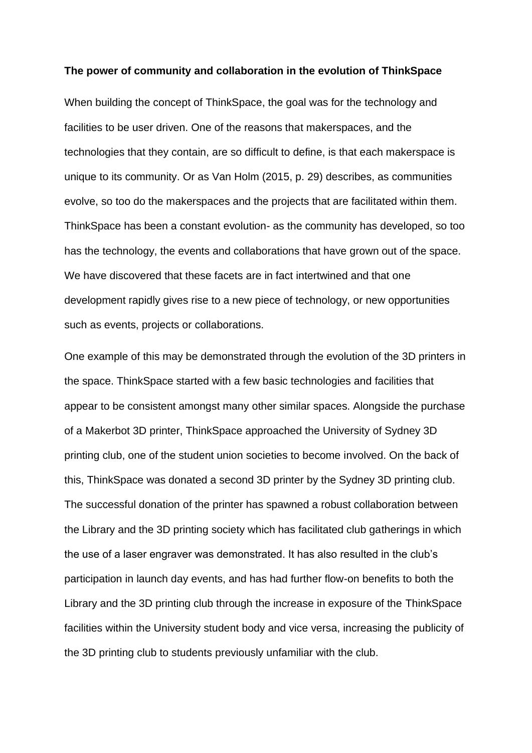### **The power of community and collaboration in the evolution of ThinkSpace**

When building the concept of ThinkSpace, the goal was for the technology and facilities to be user driven. One of the reasons that makerspaces, and the technologies that they contain, are so difficult to define, is that each makerspace is unique to its community. Or as Van Holm (2015, p. 29) describes, as communities evolve, so too do the makerspaces and the projects that are facilitated within them. ThinkSpace has been a constant evolution- as the community has developed, so too has the technology, the events and collaborations that have grown out of the space. We have discovered that these facets are in fact intertwined and that one development rapidly gives rise to a new piece of technology, or new opportunities such as events, projects or collaborations.

One example of this may be demonstrated through the evolution of the 3D printers in the space. ThinkSpace started with a few basic technologies and facilities that appear to be consistent amongst many other similar spaces. Alongside the purchase of a Makerbot 3D printer, ThinkSpace approached the University of Sydney 3D printing club, one of the student union societies to become involved. On the back of this, ThinkSpace was donated a second 3D printer by the Sydney 3D printing club. The successful donation of the printer has spawned a robust collaboration between the Library and the 3D printing society which has facilitated club gatherings in which the use of a laser engraver was demonstrated. It has also resulted in the club's participation in launch day events, and has had further flow-on benefits to both the Library and the 3D printing club through the increase in exposure of the ThinkSpace facilities within the University student body and vice versa, increasing the publicity of the 3D printing club to students previously unfamiliar with the club.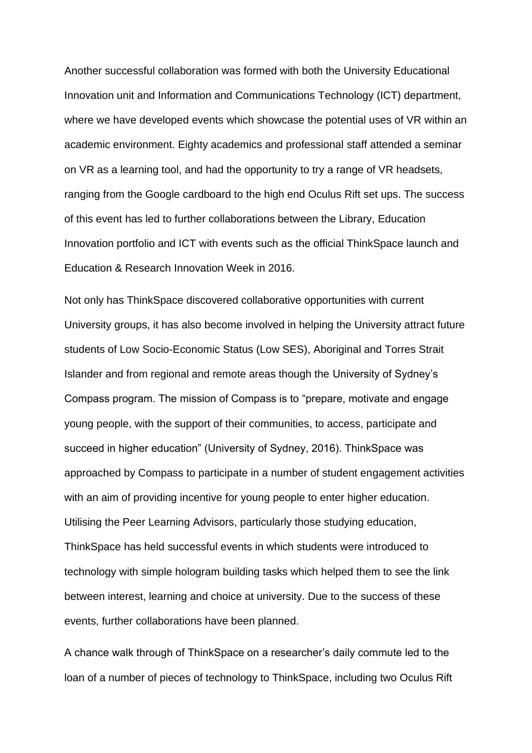Another successful collaboration was formed with both the University Educational Innovation unit and Information and Communications Technology (ICT) department, where we have developed events which showcase the potential uses of VR within an academic environment. Eighty academics and professional staff attended a seminar on VR as a learning tool, and had the opportunity to try a range of VR headsets, ranging from the Google cardboard to the high end Oculus Rift set ups. The success of this event has led to further collaborations between the Library, Education Innovation portfolio and ICT with events such as the official ThinkSpace launch and Education & Research Innovation Week in 2016.

Not only has ThinkSpace discovered collaborative opportunities with current University groups, it has also become involved in helping the University attract future students of Low Socio-Economic Status (Low SES), Aboriginal and Torres Strait Islander and from regional and remote areas though the University of Sydney's Compass program. The mission of Compass is to "prepare, motivate and engage young people, with the support of their communities, to access, participate and succeed in higher education" (University of Sydney, 2016). ThinkSpace was approached by Compass to participate in a number of student engagement activities with an aim of providing incentive for young people to enter higher education. Utilising the Peer Learning Advisors, particularly those studying education, ThinkSpace has held successful events in which students were introduced to technology with simple hologram building tasks which helped them to see the link between interest, learning and choice at university. Due to the success of these events, further collaborations have been planned.

A chance walk through of ThinkSpace on a researcher's daily commute led to the loan of a number of pieces of technology to ThinkSpace, including two Oculus Rift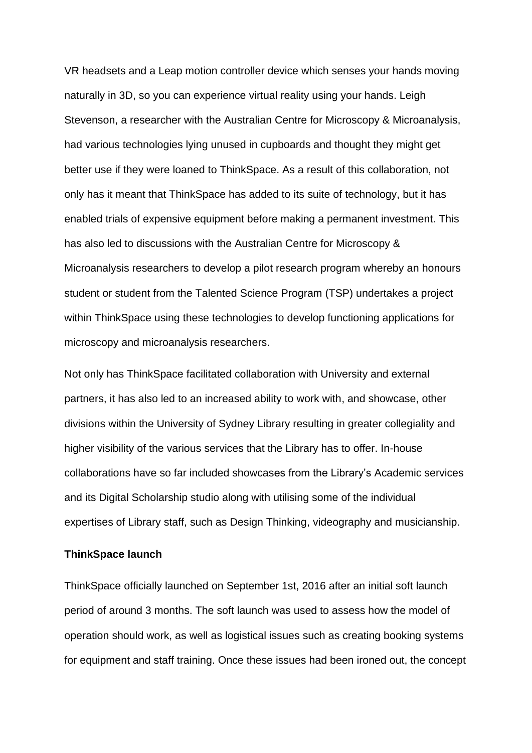VR headsets and a Leap motion controller device which senses your hands moving naturally in 3D, so you can experience virtual reality using your hands. Leigh Stevenson, a researcher with the Australian Centre for Microscopy & Microanalysis, had various technologies lying unused in cupboards and thought they might get better use if they were loaned to ThinkSpace. As a result of this collaboration, not only has it meant that ThinkSpace has added to its suite of technology, but it has enabled trials of expensive equipment before making a permanent investment. This has also led to discussions with the Australian Centre for Microscopy & Microanalysis researchers to develop a pilot research program whereby an honours student or student from the Talented Science Program (TSP) undertakes a project within ThinkSpace using these technologies to develop functioning applications for microscopy and microanalysis researchers.

Not only has ThinkSpace facilitated collaboration with University and external partners, it has also led to an increased ability to work with, and showcase, other divisions within the University of Sydney Library resulting in greater collegiality and higher visibility of the various services that the Library has to offer. In-house collaborations have so far included showcases from the Library's Academic services and its Digital Scholarship studio along with utilising some of the individual expertises of Library staff, such as Design Thinking, videography and musicianship.

# **ThinkSpace launch**

ThinkSpace officially launched on September 1st, 2016 after an initial soft launch period of around 3 months. The soft launch was used to assess how the model of operation should work, as well as logistical issues such as creating booking systems for equipment and staff training. Once these issues had been ironed out, the concept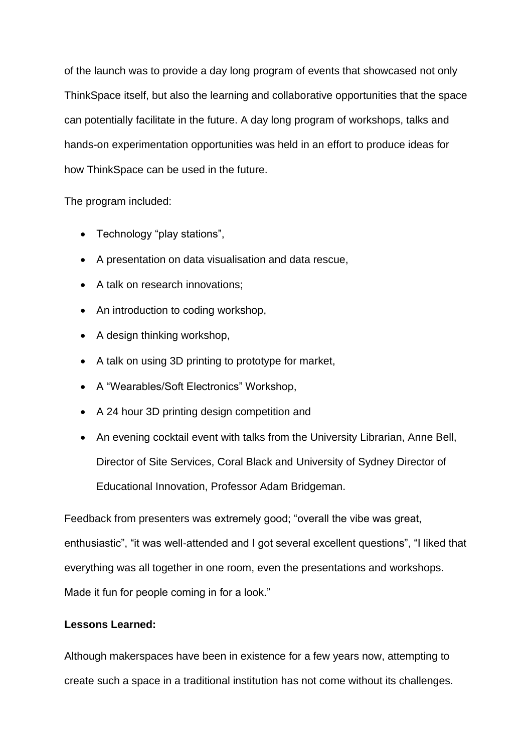of the launch was to provide a day long program of events that showcased not only ThinkSpace itself, but also the learning and collaborative opportunities that the space can potentially facilitate in the future. A day long program of workshops, talks and hands-on experimentation opportunities was held in an effort to produce ideas for how ThinkSpace can be used in the future.

The program included:

- Technology "play stations",
- A presentation on data visualisation and data rescue,
- A talk on research innovations;
- An introduction to coding workshop,
- A design thinking workshop,
- A talk on using 3D printing to prototype for market,
- A "Wearables/Soft Electronics" Workshop,
- A 24 hour 3D printing design competition and
- An evening cocktail event with talks from the University Librarian, Anne Bell, Director of Site Services, Coral Black and University of Sydney Director of Educational Innovation, Professor Adam Bridgeman.

Feedback from presenters was extremely good; "overall the vibe was great, enthusiastic", "it was well-attended and I got several excellent questions", "I liked that everything was all together in one room, even the presentations and workshops. Made it fun for people coming in for a look."

# **Lessons Learned:**

Although makerspaces have been in existence for a few years now, attempting to create such a space in a traditional institution has not come without its challenges.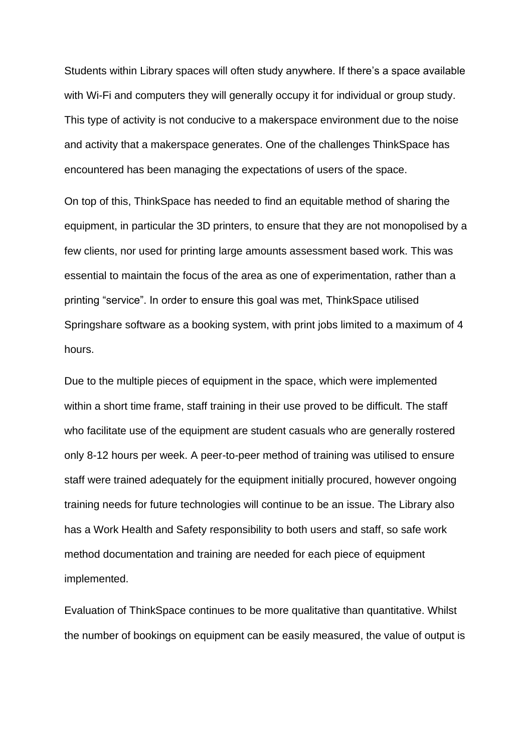Students within Library spaces will often study anywhere. If there's a space available with Wi-Fi and computers they will generally occupy it for individual or group study. This type of activity is not conducive to a makerspace environment due to the noise and activity that a makerspace generates. One of the challenges ThinkSpace has encountered has been managing the expectations of users of the space.

On top of this, ThinkSpace has needed to find an equitable method of sharing the equipment, in particular the 3D printers, to ensure that they are not monopolised by a few clients, nor used for printing large amounts assessment based work. This was essential to maintain the focus of the area as one of experimentation, rather than a printing "service". In order to ensure this goal was met, ThinkSpace utilised Springshare software as a booking system, with print jobs limited to a maximum of 4 hours.

Due to the multiple pieces of equipment in the space, which were implemented within a short time frame, staff training in their use proved to be difficult. The staff who facilitate use of the equipment are student casuals who are generally rostered only 8-12 hours per week. A peer-to-peer method of training was utilised to ensure staff were trained adequately for the equipment initially procured, however ongoing training needs for future technologies will continue to be an issue. The Library also has a Work Health and Safety responsibility to both users and staff, so safe work method documentation and training are needed for each piece of equipment implemented.

Evaluation of ThinkSpace continues to be more qualitative than quantitative. Whilst the number of bookings on equipment can be easily measured, the value of output is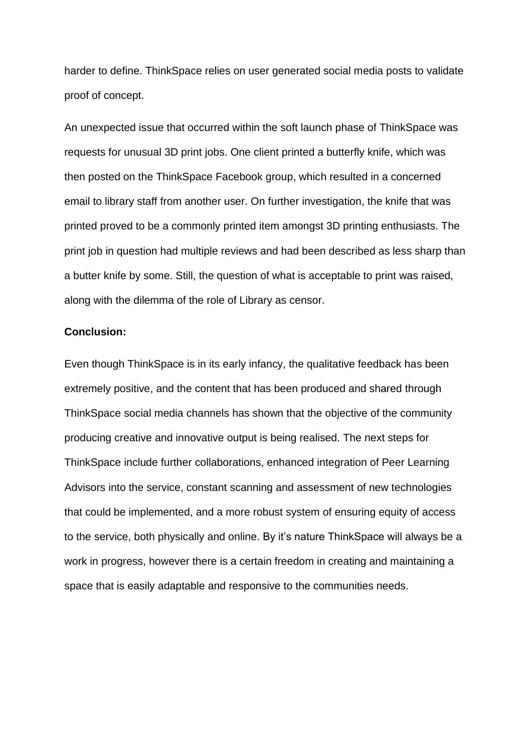harder to define. ThinkSpace relies on user generated social media posts to validate proof of concept.

An unexpected issue that occurred within the soft launch phase of ThinkSpace was requests for unusual 3D print jobs. One client printed a butterfly knife, which was then posted on the ThinkSpace Facebook group, which resulted in a concerned email to library staff from another user. On further investigation, the knife that was printed proved to be a commonly printed item amongst 3D printing enthusiasts. The print job in question had multiple reviews and had been described as less sharp than a butter knife by some. Still, the question of what is acceptable to print was raised, along with the dilemma of the role of Library as censor.

# **Conclusion:**

Even though ThinkSpace is in its early infancy, the qualitative feedback has been extremely positive, and the content that has been produced and shared through ThinkSpace social media channels has shown that the objective of the community producing creative and innovative output is being realised. The next steps for ThinkSpace include further collaborations, enhanced integration of Peer Learning Advisors into the service, constant scanning and assessment of new technologies that could be implemented, and a more robust system of ensuring equity of access to the service, both physically and online. By it's nature ThinkSpace will always be a work in progress, however there is a certain freedom in creating and maintaining a space that is easily adaptable and responsive to the communities needs.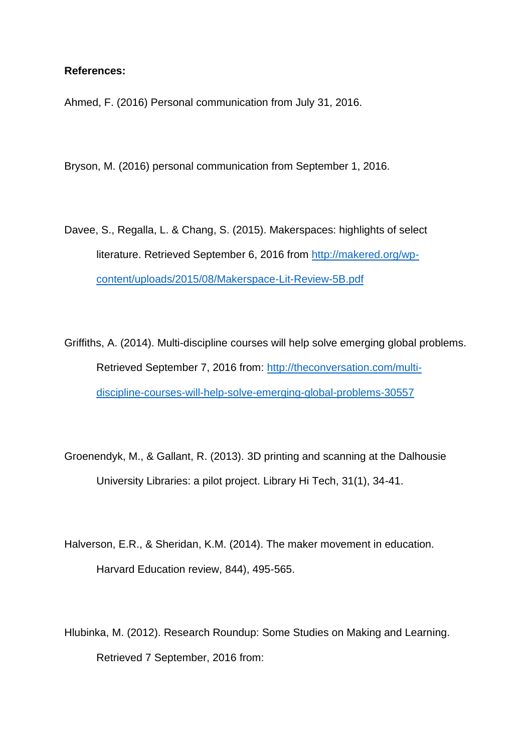# **References:**

Ahmed, F. (2016) Personal communication from July 31, 2016.

Bryson, M. (2016) personal communication from September 1, 2016.

Davee, S., Regalla, L. & Chang, S. (2015). Makerspaces: highlights of select literature. Retrieved September 6, 2016 from [http://makered.org/wp](http://makered.org/wp-content/uploads/2015/08/Makerspace-Lit-Review-5B.pdf)[content/uploads/2015/08/Makerspace-Lit-Review-5B.pdf](http://makered.org/wp-content/uploads/2015/08/Makerspace-Lit-Review-5B.pdf)

Griffiths, A. (2014). Multi-discipline courses will help solve emerging global problems. Retrieved September 7, 2016 from: [http://theconversation.com/multi](http://theconversation.com/multi-discipline-courses-will-help-solve-emerging-global-problems-30557)[discipline-courses-will-help-solve-emerging-global-problems-30557](http://theconversation.com/multi-discipline-courses-will-help-solve-emerging-global-problems-30557)

- Groenendyk, M., & Gallant, R. (2013). 3D printing and scanning at the Dalhousie University Libraries: a pilot project. Library Hi Tech, 31(1), 34-41.
- Halverson, E.R., & Sheridan, K.M. (2014). The maker movement in education. Harvard Education review, 844), 495-565.
- Hlubinka, M. (2012). Research Roundup: Some Studies on Making and Learning. Retrieved 7 September, 2016 from: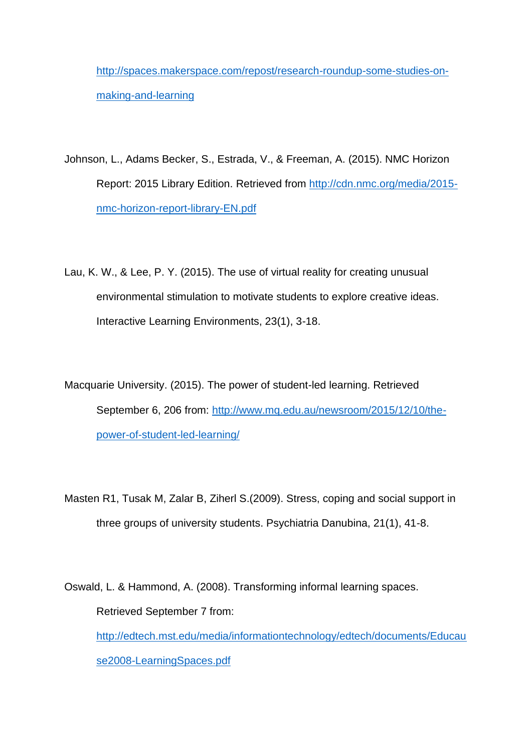[http://spaces.makerspace.com/repost/research-roundup-some-studies-on](http://spaces.makerspace.com/repost/research-roundup-some-studies-on-making-and-learning)[making-and-learning](http://spaces.makerspace.com/repost/research-roundup-some-studies-on-making-and-learning)

- Johnson, L., Adams Becker, S., Estrada, V., & Freeman, A. (2015). NMC Horizon Report: 2015 Library Edition. Retrieved from [http://cdn.nmc.org/media/2015](http://cdn.nmc.org/media/2015-nmc-horizon-report-library-EN.pdf) [nmc-horizon-report-library-EN.pdf](http://cdn.nmc.org/media/2015-nmc-horizon-report-library-EN.pdf)
- Lau, K. W., & Lee, P. Y. (2015). The use of virtual reality for creating unusual environmental stimulation to motivate students to explore creative ideas. Interactive Learning Environments, 23(1), 3-18.

Macquarie University. (2015). The power of student-led learning. Retrieved September 6, 206 from: [http://www.mq.edu.au/newsroom/2015/12/10/the](http://www.mq.edu.au/newsroom/2015/12/10/the-power-of-student-led-learning/)[power-of-student-led-learning/](http://www.mq.edu.au/newsroom/2015/12/10/the-power-of-student-led-learning/)

Masten R1, Tusak M, Zalar B, Ziherl S.(2009). Stress, coping and social support in three groups of university students. Psychiatria Danubina, 21(1), 41-8.

Oswald, L. & Hammond, A. (2008). Transforming informal learning spaces. Retrieved September 7 from: [http://edtech.mst.edu/media/informationtechnology/edtech/documents/Educau](http://edtech.mst.edu/media/informationtechnology/edtech/documents/Educause2008-LearningSpaces.pdf) [se2008-LearningSpaces.pdf](http://edtech.mst.edu/media/informationtechnology/edtech/documents/Educause2008-LearningSpaces.pdf)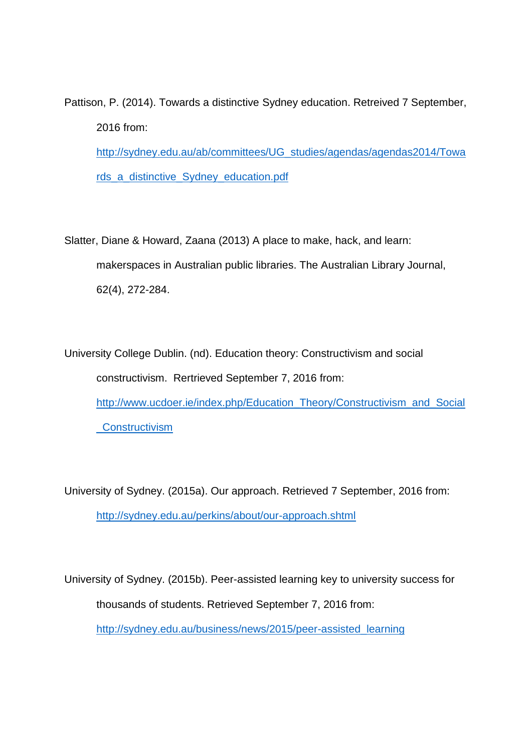Pattison, P. (2014). Towards a distinctive Sydney education. Retreived 7 September, 2016 from:

[http://sydney.edu.au/ab/committees/UG\\_studies/agendas/agendas2014/Towa](http://sydney.edu.au/ab/committees/UG_studies/agendas/agendas2014/Towards_a_distinctive_Sydney_education.pdf) [rds\\_a\\_distinctive\\_Sydney\\_education.pdf](http://sydney.edu.au/ab/committees/UG_studies/agendas/agendas2014/Towards_a_distinctive_Sydney_education.pdf)

Slatter, Diane & Howard, Zaana (2013) A place to make, hack, and learn: makerspaces in Australian public libraries. The Australian Library Journal, 62(4), 272-284.

University College Dublin. (nd). Education theory: Constructivism and social constructivism. Rertrieved September 7, 2016 from: [http://www.ucdoer.ie/index.php/Education\\_Theory/Constructivism\\_and\\_Social](http://www.ucdoer.ie/index.php/Education_Theory/Constructivism_and_Social_Constructivism) **Constructivism** 

University of Sydney. (2015a). Our approach. Retrieved 7 September, 2016 from: <http://sydney.edu.au/perkins/about/our-approach.shtml>

University of Sydney. (2015b). Peer-assisted learning key to university success for thousands of students. Retrieved September 7, 2016 from: [http://sydney.edu.au/business/news/2015/peer-assisted\\_learning](http://sydney.edu.au/business/news/2015/peer-assisted_learning)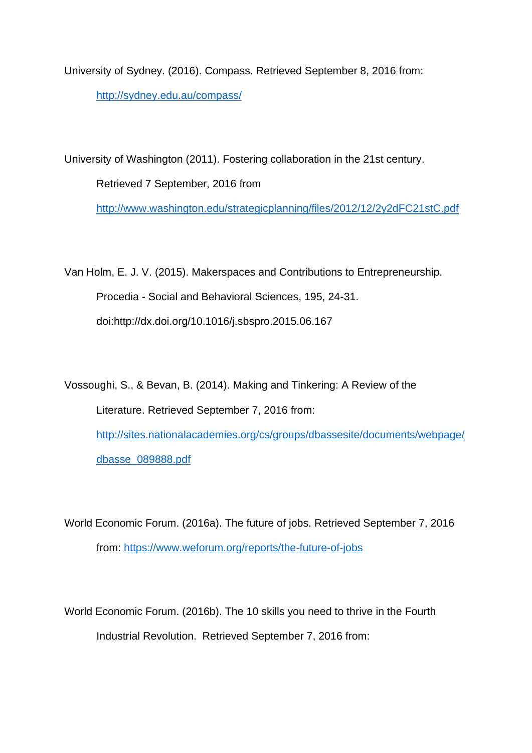University of Sydney. (2016). Compass. Retrieved September 8, 2016 from: <http://sydney.edu.au/compass/>

University of Washington (2011). Fostering collaboration in the 21st century.

Retrieved 7 September, 2016 from

<http://www.washington.edu/strategicplanning/files/2012/12/2y2dFC21stC.pdf>

Van Holm, E. J. V. (2015). Makerspaces and Contributions to Entrepreneurship. Procedia - Social and Behavioral Sciences, 195, 24-31. doi:http://dx.doi.org/10.1016/j.sbspro.2015.06.167

Vossoughi, S., & Bevan, B. (2014). Making and Tinkering: A Review of the Literature. Retrieved September 7, 2016 from: [http://sites.nationalacademies.org/cs/groups/dbassesite/documents/webpage/](http://sites.nationalacademies.org/cs/groups/dbassesite/documents/webpage/dbasse_089888.pdf) [dbasse\\_089888.pdf](http://sites.nationalacademies.org/cs/groups/dbassesite/documents/webpage/dbasse_089888.pdf)

World Economic Forum. (2016a). The future of jobs. Retrieved September 7, 2016 from:<https://www.weforum.org/reports/the-future-of-jobs>

World Economic Forum. (2016b). The 10 skills you need to thrive in the Fourth Industrial Revolution. Retrieved September 7, 2016 from: